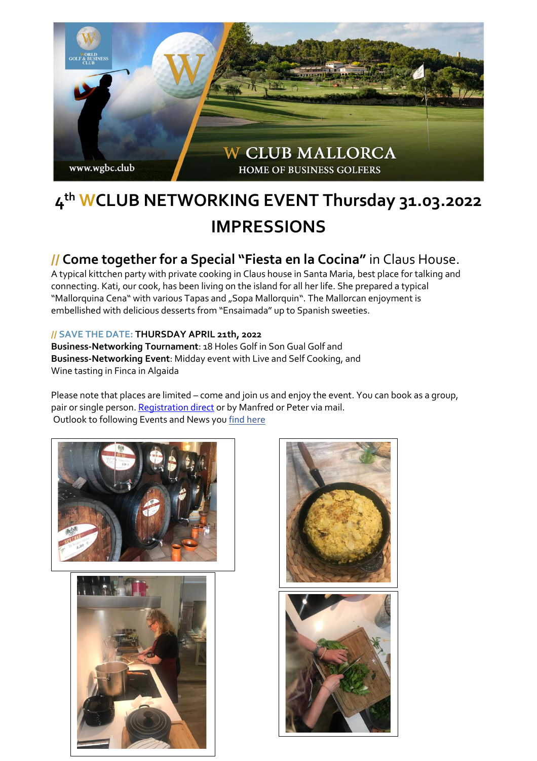

## **4 th WCLUB NETWORKING EVENT Thursday 31.03.2022 IMPRESSIONS**

## **// Come together for a Special "Fiesta en la Cocina"** in Claus House.

A typical kittchen party with private cooking in Claus house in Santa Maria, best place for talking and connecting. Kati, our cook, has been living on the island for all her life. She prepared a typical "Mallorquina Cena" with various Tapas and "Sopa Mallorquin". The Mallorcan enjoyment is embellished with delicious desserts from "Ensaimada" up to Spanish sweeties.

## **// SAVE THE DATE: THURSDAY APRIL 21th, 2022**

**Business-Networking Tournament**: 18 Holes Golf in Son Gual Golf and **Business-Networking Event**: Midday event with Live and Self Cooking, and Wine tasting in Finca in Algaida

Please note that places are limited – come and join us and enjoy the event. You can book as a group, pair or single person[. Registration direct](https://04bad164-ac87-4d7c-b7a1-c93e41f62870.pipedrive.email/c/wy5xrz8gke/wy55n1q3gy/9x429dd9yq/0?redirectUrl=https%3A%2F%2Fwww.wgbc.club%2Fwclub-mallorca-application-for-events-tournaments%2F) or by Manfred or Peter via mail. Outlook to following Events and News you [find here](https://cloud.wgbc.club/WCLUB_Mallorca-Newsletter_01-22)